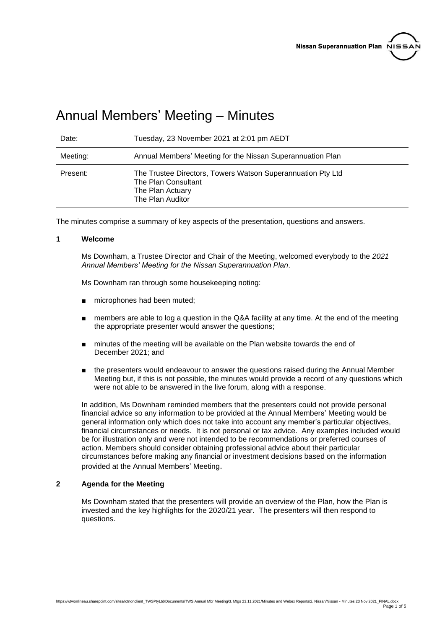

# Annual Members' Meeting – Minutes

| Date:    | Tuesday, 23 November 2021 at 2:01 pm AEDT                                                                                  |
|----------|----------------------------------------------------------------------------------------------------------------------------|
| Meeting: | Annual Members' Meeting for the Nissan Superannuation Plan                                                                 |
| Present: | The Trustee Directors, Towers Watson Superannuation Pty Ltd<br>The Plan Consultant<br>The Plan Actuary<br>The Plan Auditor |

The minutes comprise a summary of key aspects of the presentation, questions and answers.

#### **1 Welcome**

Ms Downham, a Trustee Director and Chair of the Meeting, welcomed everybody to the *2021 Annual Members' Meeting for the Nissan Superannuation Plan*.

Ms Downham ran through some housekeeping noting:

- microphones had been muted;
- members are able to log a question in the Q&A facility at any time. At the end of the meeting the appropriate presenter would answer the questions;
- minutes of the meeting will be available on the Plan website towards the end of December 2021; and
- the presenters would endeavour to answer the questions raised during the Annual Member Meeting but, if this is not possible, the minutes would provide a record of any questions which were not able to be answered in the live forum, along with a response.

In addition, Ms Downham reminded members that the presenters could not provide personal financial advice so any information to be provided at the Annual Members' Meeting would be general information only which does not take into account any member's particular objectives, financial circumstances or needs. It is not personal or tax advice. Any examples included would be for illustration only and were not intended to be recommendations or preferred courses of action. Members should consider obtaining professional advice about their particular circumstances before making any financial or investment decisions based on the information provided at the Annual Members' Meeting.

## **2 Agenda for the Meeting**

Ms Downham stated that the presenters will provide an overview of the Plan, how the Plan is invested and the key highlights for the 2020/21 year. The presenters will then respond to questions.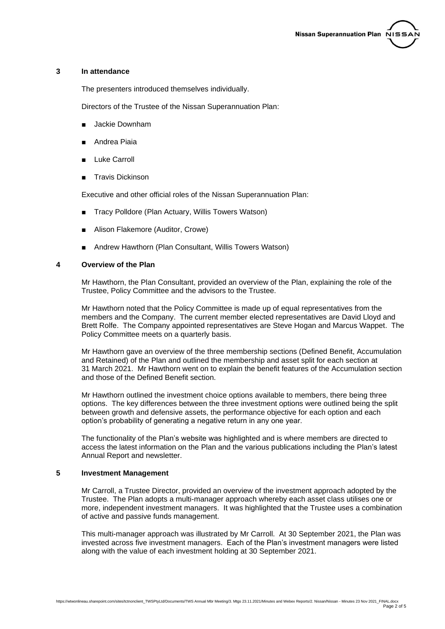#### **3 In attendance**

The presenters introduced themselves individually.

Directors of the Trustee of the Nissan Superannuation Plan:

- Jackie Downham
- Andrea Piaia
- Luke Carroll
- Travis Dickinson

Executive and other official roles of the Nissan Superannuation Plan:

- Tracy Polldore (Plan Actuary, Willis Towers Watson)
- Alison Flakemore (Auditor, Crowe)
- Andrew Hawthorn (Plan Consultant, Willis Towers Watson)

## **4 Overview of the Plan**

Mr Hawthorn, the Plan Consultant, provided an overview of the Plan, explaining the role of the Trustee, Policy Committee and the advisors to the Trustee.

Mr Hawthorn noted that the Policy Committee is made up of equal representatives from the members and the Company. The current member elected representatives are David Lloyd and Brett Rolfe. The Company appointed representatives are Steve Hogan and Marcus Wappet. The Policy Committee meets on a quarterly basis.

Mr Hawthorn gave an overview of the three membership sections (Defined Benefit, Accumulation and Retained) of the Plan and outlined the membership and asset split for each section at 31 March 2021. Mr Hawthorn went on to explain the benefit features of the Accumulation section and those of the Defined Benefit section.

Mr Hawthorn outlined the investment choice options available to members, there being three options. The key differences between the three investment options were outlined being the split between growth and defensive assets, the performance objective for each option and each option's probability of generating a negative return in any one year.

The functionality of the Plan's website was highlighted and is where members are directed to access the latest information on the Plan and the various publications including the Plan's latest Annual Report and newsletter.

# **5 Investment Management**

Mr Carroll, a Trustee Director, provided an overview of the investment approach adopted by the Trustee. The Plan adopts a multi-manager approach whereby each asset class utilises one or more, independent investment managers. It was highlighted that the Trustee uses a combination of active and passive funds management.

This multi-manager approach was illustrated by Mr Carroll. At 30 September 2021, the Plan was invested across five investment managers. Each of the Plan's investment managers were listed along with the value of each investment holding at 30 September 2021.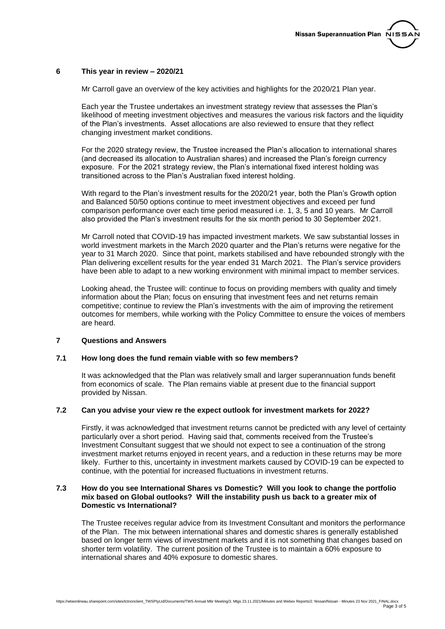## **6 This year in review – 2020/21**

Mr Carroll gave an overview of the key activities and highlights for the 2020/21 Plan year.

Each year the Trustee undertakes an investment strategy review that assesses the Plan's likelihood of meeting investment objectives and measures the various risk factors and the liquidity of the Plan's investments. Asset allocations are also reviewed to ensure that they reflect changing investment market conditions.

For the 2020 strategy review, the Trustee increased the Plan's allocation to international shares (and decreased its allocation to Australian shares) and increased the Plan's foreign currency exposure. For the 2021 strategy review, the Plan's international fixed interest holding was transitioned across to the Plan's Australian fixed interest holding.

With regard to the Plan's investment results for the 2020/21 year, both the Plan's Growth option and Balanced 50/50 options continue to meet investment objectives and exceed per fund comparison performance over each time period measured i.e. 1, 3, 5 and 10 years. Mr Carroll also provided the Plan's investment results for the six month period to 30 September 2021.

Mr Carroll noted that COVID-19 has impacted investment markets. We saw substantial losses in world investment markets in the March 2020 quarter and the Plan's returns were negative for the year to 31 March 2020. Since that point, markets stabilised and have rebounded strongly with the Plan delivering excellent results for the year ended 31 March 2021. The Plan's service providers have been able to adapt to a new working environment with minimal impact to member services.

Looking ahead, the Trustee will: continue to focus on providing members with quality and timely information about the Plan; focus on ensuring that investment fees and net returns remain competitive; continue to review the Plan's investments with the aim of improving the retirement outcomes for members, while working with the Policy Committee to ensure the voices of members are heard.

## **7 Questions and Answers**

## **7.1 How long does the fund remain viable with so few members?**

It was acknowledged that the Plan was relatively small and larger superannuation funds benefit from economics of scale. The Plan remains viable at present due to the financial support provided by Nissan.

# **7.2 Can you advise your view re the expect outlook for investment markets for 2022?**

Firstly, it was acknowledged that investment returns cannot be predicted with any level of certainty particularly over a short period. Having said that, comments received from the Trustee's Investment Consultant suggest that we should not expect to see a continuation of the strong investment market returns enjoyed in recent years, and a reduction in these returns may be more likely. Further to this, uncertainty in investment markets caused by COVID-19 can be expected to continue, with the potential for increased fluctuations in investment returns.

#### **7.3 How do you see International Shares vs Domestic? Will you look to change the portfolio mix based on Global outlooks? Will the instability push us back to a greater mix of Domestic vs International?**

The Trustee receives regular advice from its Investment Consultant and monitors the performance of the Plan. The mix between international shares and domestic shares is generally established based on longer term views of investment markets and it is not something that changes based on shorter term volatility. The current position of the Trustee is to maintain a 60% exposure to international shares and 40% exposure to domestic shares.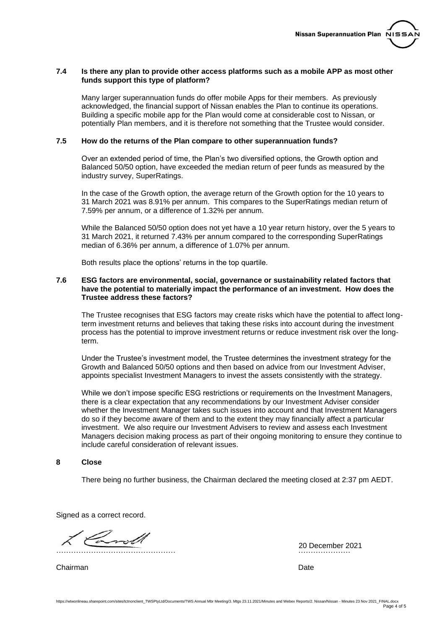# **7.4 Is there any plan to provide other access platforms such as a mobile APP as most other funds support this type of platform?**

Many larger superannuation funds do offer mobile Apps for their members. As previously acknowledged, the financial support of Nissan enables the Plan to continue its operations. Building a specific mobile app for the Plan would come at considerable cost to Nissan, or potentially Plan members, and it is therefore not something that the Trustee would consider.

## **7.5 How do the returns of the Plan compare to other superannuation funds?**

Over an extended period of time, the Plan's two diversified options, the Growth option and Balanced 50/50 option, have exceeded the median return of peer funds as measured by the industry survey, SuperRatings.

In the case of the Growth option, the average return of the Growth option for the 10 years to 31 March 2021 was 8.91% per annum. This compares to the SuperRatings median return of 7.59% per annum, or a difference of 1.32% per annum.

While the Balanced 50/50 option does not yet have a 10 year return history, over the 5 years to 31 March 2021, it returned 7.43% per annum compared to the corresponding SuperRatings median of 6.36% per annum, a difference of 1.07% per annum.

Both results place the options' returns in the top quartile.

# **7.6 ESG factors are environmental, social, governance or sustainability related factors that have the potential to materially impact the performance of an investment. How does the Trustee address these factors?**

The Trustee recognises that ESG factors may create risks which have the potential to affect longterm investment returns and believes that taking these risks into account during the investment process has the potential to improve investment returns or reduce investment risk over the longterm.

Under the Trustee's investment model, the Trustee determines the investment strategy for the Growth and Balanced 50/50 options and then based on advice from our Investment Adviser, appoints specialist Investment Managers to invest the assets consistently with the strategy.

While we don't impose specific ESG restrictions or requirements on the Investment Managers, there is a clear expectation that any recommendations by our Investment Adviser consider whether the Investment Manager takes such issues into account and that Investment Managers do so if they become aware of them and to the extent they may financially affect a particular investment. We also require our Investment Advisers to review and assess each Investment Managers decision making process as part of their ongoing monitoring to ensure they continue to include careful consideration of relevant issues.

# **8 Close**

There being no further business, the Chairman declared the meeting closed at 2:37 pm AEDT.

Signed as a correct record.

………………………………………… …………………

Chairman Date **Date** 

20 December 2021